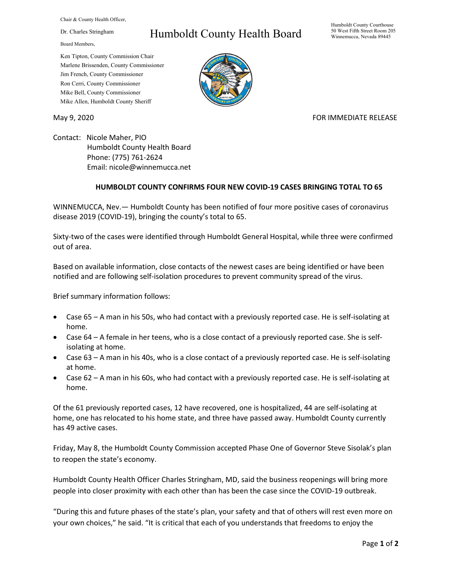Chair & County Health Officer,

Dr. Charles Stringham

Board Members,

## Humboldt County Health Board

Humboldt County Courthouse 50 West Fifth Street Room 205 Winnemucca, Nevada 89445

Ken Tipton, County Commission Chair Marlene Brissenden, County Commissioner Jim French, County Commissioner Ron Cerri, County Commissioner Mike Bell, County Commissioner Mike Allen, Humboldt County Sheriff

May 9, 2020 FOR IMMEDIATE RELEASE

Contact: Nicole Maher, PIO Humboldt County Health Board Phone: (775) 761-2624 Email: nicole@winnemucca.net

## **HUMBOLDT COUNTY CONFIRMS FOUR NEW COVID-19 CASES BRINGING TOTAL TO 65**

WINNEMUCCA, Nev.— Humboldt County has been notified of four more positive cases of coronavirus disease 2019 (COVID-19), bringing the county's total to 65.

Sixty-two of the cases were identified through Humboldt General Hospital, while three were confirmed out of area.

Based on available information, close contacts of the newest cases are being identified or have been notified and are following self-isolation procedures to prevent community spread of the virus.

Brief summary information follows:

- Case 65 A man in his 50s, who had contact with a previously reported case. He is self-isolating at home.
- Case 64 A female in her teens, who is a close contact of a previously reported case. She is selfisolating at home.
- Case 63 A man in his 40s, who is a close contact of a previously reported case. He is self-isolating at home.
- Case 62 A man in his 60s, who had contact with a previously reported case. He is self-isolating at home.

Of the 61 previously reported cases, 12 have recovered, one is hospitalized, 44 are self-isolating at home, one has relocated to his home state, and three have passed away. Humboldt County currently has 49 active cases.

Friday, May 8, the Humboldt County Commission accepted Phase One of Governor Steve Sisolak's plan to reopen the state's economy.

Humboldt County Health Officer Charles Stringham, MD, said the business reopenings will bring more people into closer proximity with each other than has been the case since the COVID-19 outbreak.

"During this and future phases of the state's plan, your safety and that of others will rest even more on your own choices," he said. "It is critical that each of you understands that freedoms to enjoy the